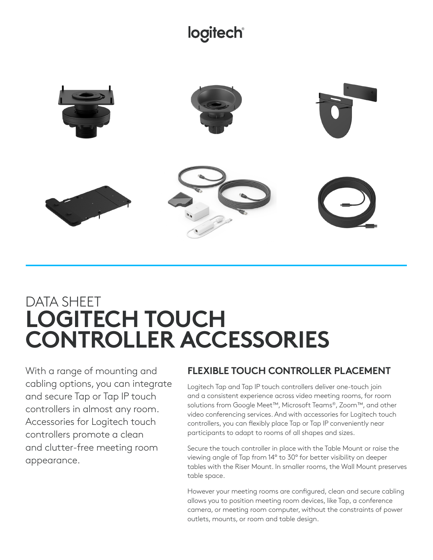# logitech®



# DATA SHEET **LOGITECH TOUCH CONTROLLER ACCESSORIES**

With a range of mounting and cabling options, you can integrate and secure Tap or Tap IP touch controllers in almost any room. Accessories for Logitech touch controllers promote a clean and clutter-free meeting room appearance.

## **FLEXIBLE TOUCH CONTROLLER PLACEMENT**

Logitech Tap and Tap IP touch controllers deliver one-touch join and a consistent experience across video meeting rooms, for room solutions from Google Meet™, Microsoft Teams®, Zoom™, and other video conferencing services. And with accessories for Logitech touch controllers, you can flexibly place Tap or Tap IP conveniently near participants to adapt to rooms of all shapes and sizes.

Secure the touch controller in place with the Table Mount or raise the viewing angle of Tap from 14° to 30° for better visibility on deeper tables with the Riser Mount. In smaller rooms, the Wall Mount preserves table space.

However your meeting rooms are configured, clean and secure cabling allows you to position meeting room devices, like Tap, a conference camera, or meeting room computer, without the constraints of power outlets, mounts, or room and table design.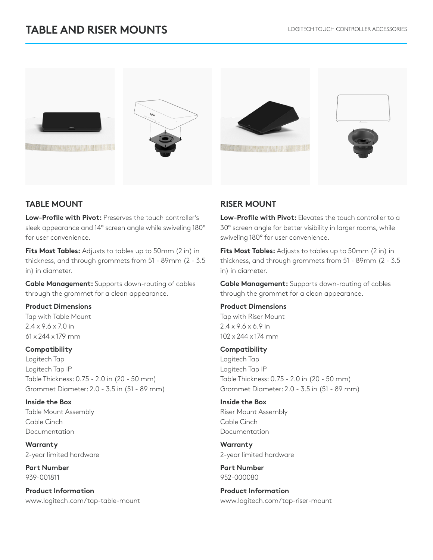







### **TABLE MOUNT**

**Low-Profile with Pivot:** Preserves the touch controller's sleek appearance and 14° screen angle while swiveling 180° for user convenience.

**Fits Most Tables:** Adjusts to tables up to 50mm (2 in) in thickness, and through grommets from 51 - 89mm (2 - 3.5 in) in diameter.

**Cable Management:** Supports down-routing of cables through the grommet for a clean appearance.

#### **Product Dimensions**

Tap with Table Mount 2.4 x 9.6 x 7.0 in 61 x 244 x 179 mm

#### **Compatibility**

Logitech Tap Logitech Tap IP Table Thickness: 0.75 - 2.0 in (20 - 50 mm) Grommet Diameter: 2.0 - 3.5 in (51 - 89 mm)

**Inside the Box** Table Mount Assembly Cable Cinch Documentation

**Warranty** 2-year limited hardware

**Part Number** 939-001811

**Product Information** www.logitech.com/tap-table-mount

### **RISER MOUNT**

**Low-Profile with Pivot:** Elevates the touch controller to a 30° screen angle for better visibility in larger rooms, while swiveling 180° for user convenience.

**Fits Most Tables:** Adjusts to tables up to 50mm (2 in) in thickness, and through grommets from 51 - 89mm (2 - 3.5 in) in diameter.

**Cable Management:** Supports down-routing of cables through the grommet for a clean appearance.

#### **Product Dimensions**

Tap with Riser Mount 2.4 x 9.6 x 6.9 in 102 x 244 x 174 mm

#### **Compatibility**

Logitech Tap Logitech Tap IP Table Thickness: 0.75 - 2.0 in (20 - 50 mm) Grommet Diameter: 2.0 - 3.5 in (51 - 89 mm)

#### **Inside the Box** Riser Mount Assembly Cable Cinch Documentation

**Warranty** 2-year limited hardware

**Part Number** 952-000080

**Product Information** www.logitech.com/tap-riser-mount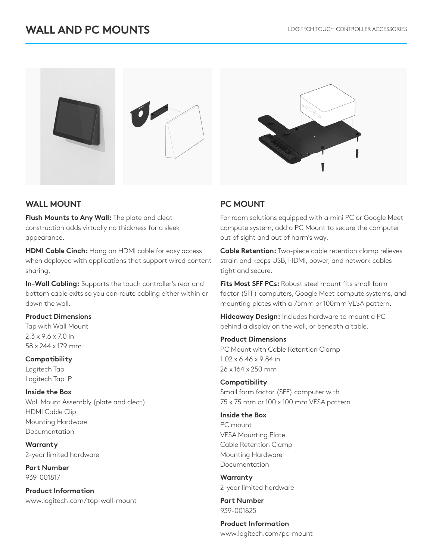## **WALL AND PC MOUNTS**



#### **WALL MOUNT**

**Flush Mounts to Any Wall:** The plate and cleat construction adds virtually no thickness for a sleek appearance.

**HDMI Cable Cinch:** Hang an HDMI cable for easy access when deployed with applications that support wired content sharing.

**In-Wall Cabling:** Supports the touch controller's rear and bottom cable exits so you can route cabling either within or down the wall.

#### **Product Dimensions**

Tap with Wall Mount 2.3 x 9.6 x 7.0 in 58 x 244 x 179 mm

**Compatibility**

Logitech Tap Logitech Tap IP

**Inside the Box** Wall Mount Assembly (plate and cleat)

HDMI Cable Clip Mounting Hardware Documentation

**Warranty** 2-year limited hardware

**Part Number** 939-001817

**Product Information** www.logitech.com/tap-wall-mount



For room solutions equipped with a mini PC or Google Meet compute system, add a PC Mount to secure the computer out of sight and out of harm's way.

**Cable Retention:** Two-piece cable retention clamp relieves strain and keeps USB, HDMI, power, and network cables tight and secure.

**Fits Most SFF PCs:** Robust steel mount fits small form factor (SFF) computers, Google Meet compute systems, and mounting plates with a 75mm or 100mm VESA pattern.

**Hideaway Design:** Includes hardware to mount a PC behind a display on the wall, or beneath a table.

**Product Dimensions** PC Mount with Cable Retention Clamp 1.02 x 6.46 x 9.84 in 26 x 164 x 250 mm

**Compatibility** Small form factor (SFF) computer with 75 x 75 mm or 100 x 100 mm VESA pattern

**Inside the Box**

PC mount VESA Mounting Plate Cable Retention Clamp Mounting Hardware Documentation

**Warranty** 2-year limited hardware

**Part Number** 939-001825

**Product Information** www.logitech.com/pc-mount